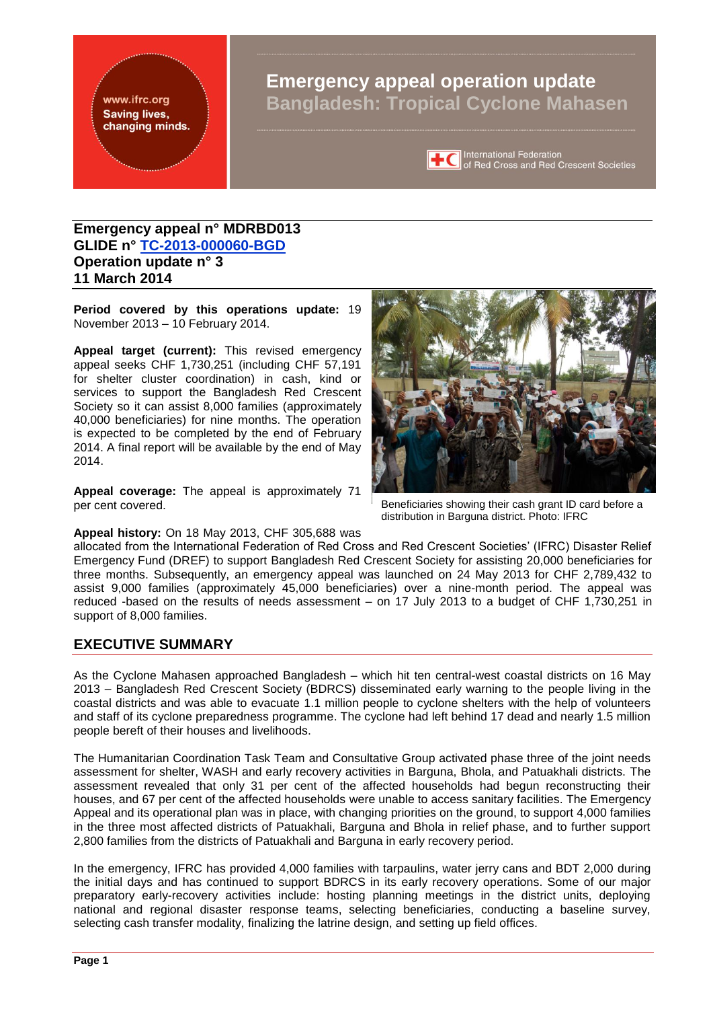<span id="page-0-0"></span>www.ifrc.org **Saving lives,** changing minds.

# **Emergency appeal operation update Bangladesh: Tropical Cyclone Mahasen**



International Federation<br> **TC** of Red Cross and Red Crescent Societies

### **Emergency appeal n° MDRBD013 GLIDE n° [TC-2013-000060-BGD](http://www.glidenumber.net/glide/public/search/details.jsp?glide=20007&record=1&last=105) Operation update n° 3 11 March 2014**

**Period covered by this operations update:** 19 November 2013 – 10 February 2014.

**Appeal target (current):** This revised emergency appeal seeks CHF 1,730,251 (including CHF 57,191 for shelter cluster coordination) in cash, kind or services to support the Bangladesh Red Crescent Society so it can assist 8,000 families (approximately 40,000 beneficiaries) for nine months. The operation is expected to be completed by the end of February 2014. A final report will be available by the end of May 2014.

**Appeal coverage:** The appeal is approximately 71 per cent covered.



Beneficiaries showing their cash grant ID card before a distribution in Barguna district. Photo: IFRC

**Appeal history:** On 18 May 2013, CHF 305,688 was

allocated from the International Federation of Red Cross and Red Crescent Societies' (IFRC) Disaster Relief Emergency Fund (DREF) to support Bangladesh Red Crescent Society for assisting 20,000 beneficiaries for three months. Subsequently, an emergency appeal was launched on 24 May 2013 for CHF 2,789,432 to assist 9,000 families (approximately 45,000 beneficiaries) over a nine-month period. The appeal was reduced -based on the results of needs assessment – on 17 July 2013 to a budget of CHF 1,730,251 in support of 8,000 families.

### **EXECUTIVE SUMMARY**

As the Cyclone Mahasen approached Bangladesh – which hit ten central-west coastal districts on 16 May 2013 – Bangladesh Red Crescent Society (BDRCS) disseminated early warning to the people living in the coastal districts and was able to evacuate 1.1 million people to cyclone shelters with the help of volunteers and staff of its cyclone preparedness programme. The cyclone had left behind 17 dead and nearly 1.5 million people bereft of their houses and livelihoods.

The Humanitarian Coordination Task Team and Consultative Group activated phase three of the joint needs assessment for shelter, WASH and early recovery activities in Barguna, Bhola, and Patuakhali districts. The assessment revealed that only 31 per cent of the affected households had begun reconstructing their houses, and 67 per cent of the affected households were unable to access sanitary facilities. The Emergency Appeal and its operational plan was in place, with changing priorities on the ground, to support 4,000 families in the three most affected districts of Patuakhali, Barguna and Bhola in relief phase, and to further support 2,800 families from the districts of Patuakhali and Barguna in early recovery period.

In the emergency, IFRC has provided 4,000 families with tarpaulins, water jerry cans and BDT 2,000 during the initial days and has continued to support BDRCS in its early recovery operations. Some of our major preparatory early-recovery activities include: hosting planning meetings in the district units, deploying national and regional disaster response teams, selecting beneficiaries, conducting a baseline survey, selecting cash transfer modality, finalizing the latrine design, and setting up field offices.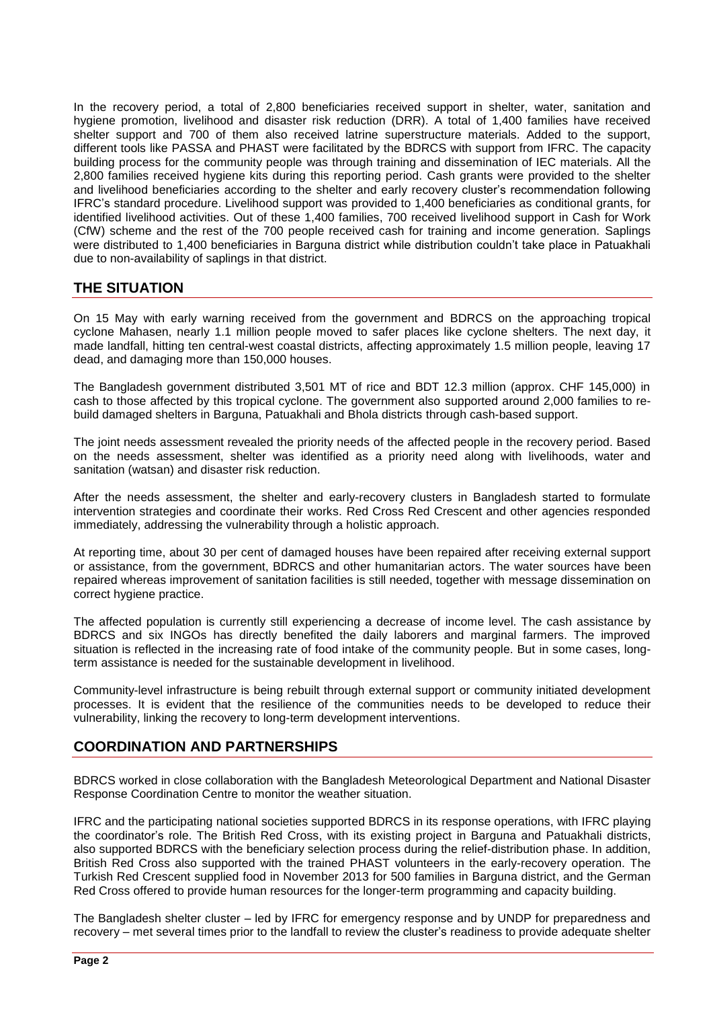In the recovery period, a total of 2,800 beneficiaries received support in shelter, water, sanitation and hygiene promotion, livelihood and disaster risk reduction (DRR). A total of 1,400 families have received shelter support and 700 of them also received latrine superstructure materials. Added to the support, different tools like PASSA and PHAST were facilitated by the BDRCS with support from IFRC. The capacity building process for the community people was through training and dissemination of IEC materials. All the 2,800 families received hygiene kits during this reporting period. Cash grants were provided to the shelter and livelihood beneficiaries according to the shelter and early recovery cluster's recommendation following IFRC's standard procedure. Livelihood support was provided to 1,400 beneficiaries as conditional grants, for identified livelihood activities. Out of these 1,400 families, 700 received livelihood support in Cash for Work (CfW) scheme and the rest of the 700 people received cash for training and income generation. Saplings were distributed to 1,400 beneficiaries in Barguna district while distribution couldn't take place in Patuakhali due to non-availability of saplings in that district.

### **THE SITUATION**

On 15 May with early warning received from the government and BDRCS on the approaching tropical cyclone Mahasen, nearly 1.1 million people moved to safer places like cyclone shelters. The next day, it made landfall, hitting ten central-west coastal districts, affecting approximately 1.5 million people, leaving 17 dead, and damaging more than 150,000 houses.

The Bangladesh government distributed 3,501 MT of rice and BDT 12.3 million (approx. CHF 145,000) in cash to those affected by this tropical cyclone. The government also supported around 2,000 families to rebuild damaged shelters in Barguna, Patuakhali and Bhola districts through cash-based support.

The joint needs assessment revealed the priority needs of the affected people in the recovery period. Based on the needs assessment, shelter was identified as a priority need along with livelihoods, water and sanitation (watsan) and disaster risk reduction.

After the needs assessment, the shelter and early-recovery clusters in Bangladesh started to formulate intervention strategies and coordinate their works. Red Cross Red Crescent and other agencies responded immediately, addressing the vulnerability through a holistic approach.

At reporting time, about 30 per cent of damaged houses have been repaired after receiving external support or assistance, from the government, BDRCS and other humanitarian actors. The water sources have been repaired whereas improvement of sanitation facilities is still needed, together with message dissemination on correct hygiene practice.

The affected population is currently still experiencing a decrease of income level. The cash assistance by BDRCS and six INGOs has directly benefited the daily laborers and marginal farmers. The improved situation is reflected in the increasing rate of food intake of the community people. But in some cases, longterm assistance is needed for the sustainable development in livelihood.

Community-level infrastructure is being rebuilt through external support or community initiated development processes. It is evident that the resilience of the communities needs to be developed to reduce their vulnerability, linking the recovery to long-term development interventions.

## **COORDINATION AND PARTNERSHIPS**

BDRCS worked in close collaboration with the Bangladesh Meteorological Department and National Disaster Response Coordination Centre to monitor the weather situation.

IFRC and the participating national societies supported BDRCS in its response operations, with IFRC playing the coordinator's role. The British Red Cross, with its existing project in Barguna and Patuakhali districts, also supported BDRCS with the beneficiary selection process during the relief-distribution phase. In addition, British Red Cross also supported with the trained PHAST volunteers in the early-recovery operation. The Turkish Red Crescent supplied food in November 2013 for 500 families in Barguna district, and the German Red Cross offered to provide human resources for the longer-term programming and capacity building.

The Bangladesh shelter cluster – led by IFRC for emergency response and by UNDP for preparedness and recovery – met several times prior to the landfall to review the cluster's readiness to provide adequate shelter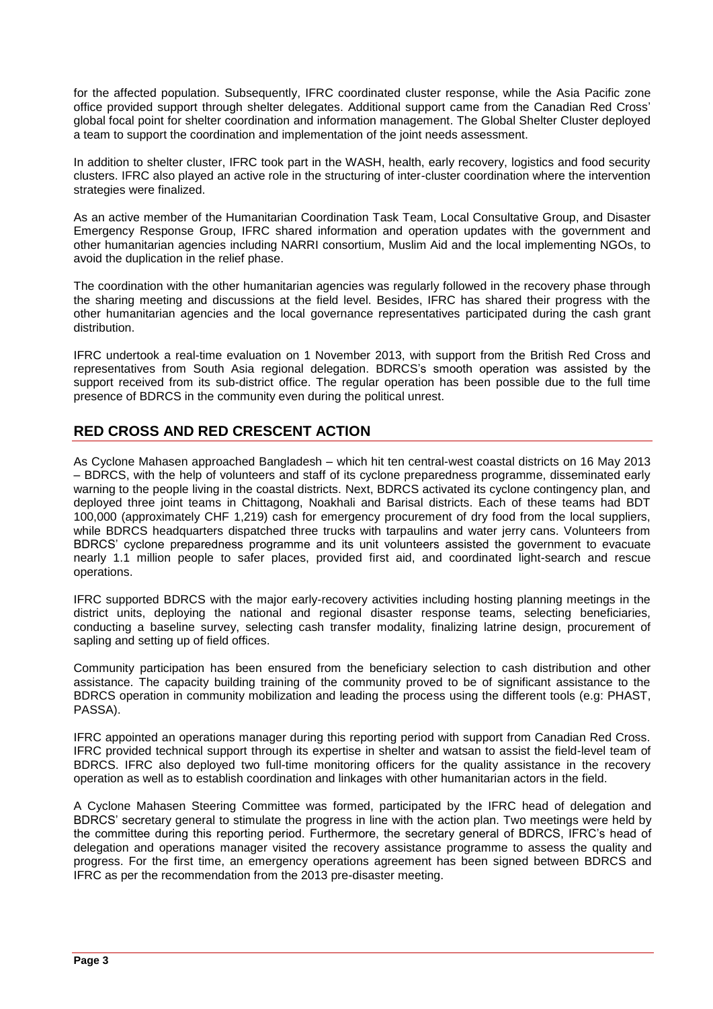for the affected population. Subsequently, IFRC coordinated cluster response, while the Asia Pacific zone office provided support through shelter delegates. Additional support came from the Canadian Red Cross' global focal point for shelter coordination and information management. The Global Shelter Cluster deployed a team to support the coordination and implementation of the joint needs assessment.

In addition to shelter cluster, IFRC took part in the WASH, health, early recovery, logistics and food security clusters. IFRC also played an active role in the structuring of inter-cluster coordination where the intervention strategies were finalized.

As an active member of the Humanitarian Coordination Task Team, Local Consultative Group, and Disaster Emergency Response Group, IFRC shared information and operation updates with the government and other humanitarian agencies including NARRI consortium, Muslim Aid and the local implementing NGOs, to avoid the duplication in the relief phase.

The coordination with the other humanitarian agencies was regularly followed in the recovery phase through the sharing meeting and discussions at the field level. Besides, IFRC has shared their progress with the other humanitarian agencies and the local governance representatives participated during the cash grant distribution.

IFRC undertook a real-time evaluation on 1 November 2013, with support from the British Red Cross and representatives from South Asia regional delegation. BDRCS's smooth operation was assisted by the support received from its sub-district office. The regular operation has been possible due to the full time presence of BDRCS in the community even during the political unrest.

### **RED CROSS AND RED CRESCENT ACTION**

As Cyclone Mahasen approached Bangladesh – which hit ten central-west coastal districts on 16 May 2013 – BDRCS, with the help of volunteers and staff of its cyclone preparedness programme, disseminated early warning to the people living in the coastal districts. Next, BDRCS activated its cyclone contingency plan, and deployed three joint teams in Chittagong, Noakhali and Barisal districts. Each of these teams had BDT 100,000 (approximately CHF 1,219) cash for emergency procurement of dry food from the local suppliers, while BDRCS headquarters dispatched three trucks with tarpaulins and water jerry cans. Volunteers from BDRCS' cyclone preparedness programme and its unit volunteers assisted the government to evacuate nearly 1.1 million people to safer places, provided first aid, and coordinated light-search and rescue operations.

IFRC supported BDRCS with the major early-recovery activities including hosting planning meetings in the district units, deploying the national and regional disaster response teams, selecting beneficiaries, conducting a baseline survey, selecting cash transfer modality, finalizing latrine design, procurement of sapling and setting up of field offices.

Community participation has been ensured from the beneficiary selection to cash distribution and other assistance. The capacity building training of the community proved to be of significant assistance to the BDRCS operation in community mobilization and leading the process using the different tools (e.g: PHAST, PASSA).

IFRC appointed an operations manager during this reporting period with support from Canadian Red Cross. IFRC provided technical support through its expertise in shelter and watsan to assist the field-level team of BDRCS. IFRC also deployed two full-time monitoring officers for the quality assistance in the recovery operation as well as to establish coordination and linkages with other humanitarian actors in the field.

A Cyclone Mahasen Steering Committee was formed, participated by the IFRC head of delegation and BDRCS' secretary general to stimulate the progress in line with the action plan. Two meetings were held by the committee during this reporting period. Furthermore, the secretary general of BDRCS, IFRC's head of delegation and operations manager visited the recovery assistance programme to assess the quality and progress. For the first time, an emergency operations agreement has been signed between BDRCS and IFRC as per the recommendation from the 2013 pre-disaster meeting.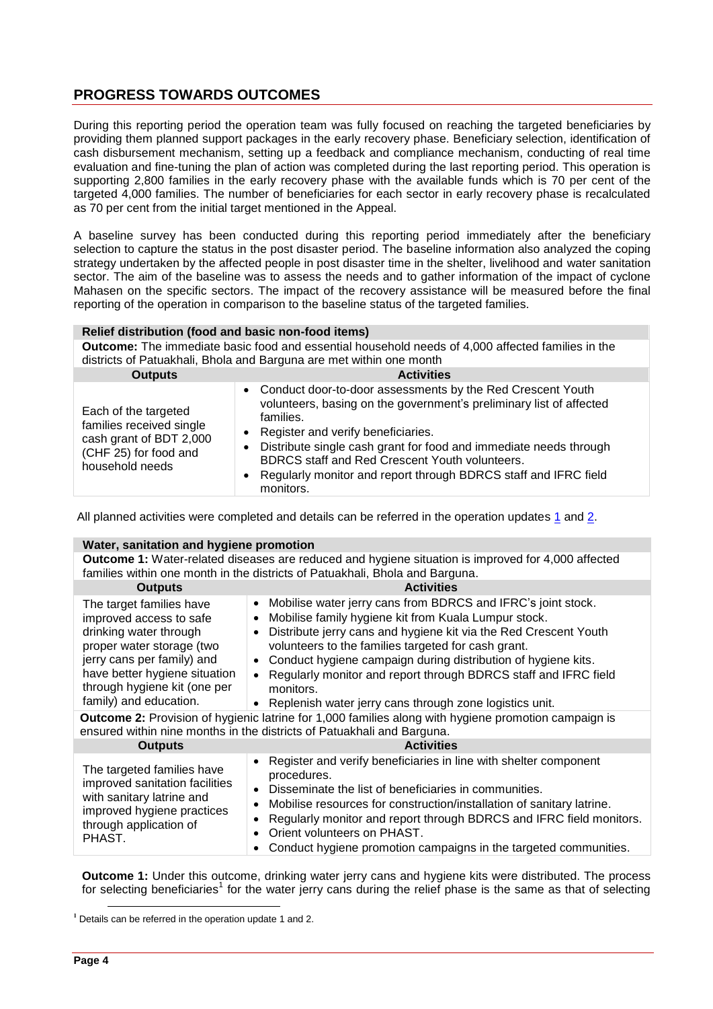### **PROGRESS TOWARDS OUTCOMES**

During this reporting period the operation team was fully focused on reaching the targeted beneficiaries by providing them planned support packages in the early recovery phase. Beneficiary selection, identification of cash disbursement mechanism, setting up a feedback and compliance mechanism, conducting of real time evaluation and fine-tuning the plan of action was completed during the last reporting period. This operation is supporting 2,800 families in the early recovery phase with the available funds which is 70 per cent of the targeted 4,000 families. The number of beneficiaries for each sector in early recovery phase is recalculated as 70 per cent from the initial target mentioned in the Appeal.

A baseline survey has been conducted during this reporting period immediately after the beneficiary selection to capture the status in the post disaster period. The baseline information also analyzed the coping strategy undertaken by the affected people in post disaster time in the shelter, livelihood and water sanitation sector. The aim of the baseline was to assess the needs and to gather information of the impact of cyclone Mahasen on the specific sectors. The impact of the recovery assistance will be measured before the final reporting of the operation in comparison to the baseline status of the targeted families.

#### **Relief distribution (food and basic non-food items)**

**Outcome:** The immediate basic food and essential household needs of 4,000 affected families in the districts of Patuakhali, Bhola and Barguna are met within one month

| <b>Outputs</b>                                                                                                          | <b>Activities</b>                                                                                                                                                                                                                                                                                                                                                                             |
|-------------------------------------------------------------------------------------------------------------------------|-----------------------------------------------------------------------------------------------------------------------------------------------------------------------------------------------------------------------------------------------------------------------------------------------------------------------------------------------------------------------------------------------|
| Each of the targeted<br>families received single<br>cash grant of BDT 2,000<br>(CHF 25) for food and<br>household needs | • Conduct door-to-door assessments by the Red Crescent Youth<br>volunteers, basing on the government's preliminary list of affected<br>families.<br>Register and verify beneficiaries.<br>Distribute single cash grant for food and immediate needs through<br>BDRCS staff and Red Crescent Youth volunteers.<br>Regularly monitor and report through BDRCS staff and IFRC field<br>monitors. |

All planned activities were completed and details can be referred in the operation updates [1](http://adore.ifrc.org/Download.aspx?FileId=43040) and [2.](http://www.ifrc.org/docs/Appeals/13/MDRBD01302.pdf)

| Water, sanitation and hygiene promotion                                                                                                                                                                                             |                                                                                                                                                                                                                                                                                                                                                                                                                                                                                                                              |  |
|-------------------------------------------------------------------------------------------------------------------------------------------------------------------------------------------------------------------------------------|------------------------------------------------------------------------------------------------------------------------------------------------------------------------------------------------------------------------------------------------------------------------------------------------------------------------------------------------------------------------------------------------------------------------------------------------------------------------------------------------------------------------------|--|
| <b>Outcome 1:</b> Water-related diseases are reduced and hygiene situation is improved for 4,000 affected<br>families within one month in the districts of Patuakhali, Bhola and Barguna.                                           |                                                                                                                                                                                                                                                                                                                                                                                                                                                                                                                              |  |
| <b>Outputs</b>                                                                                                                                                                                                                      | <b>Activities</b>                                                                                                                                                                                                                                                                                                                                                                                                                                                                                                            |  |
| The target families have<br>improved access to safe<br>drinking water through<br>proper water storage (two<br>jerry cans per family) and<br>have better hygiene situation<br>through hygiene kit (one per<br>family) and education. | Mobilise water jerry cans from BDRCS and IFRC's joint stock.<br>$\bullet$<br>Mobilise family hygiene kit from Kuala Lumpur stock.<br>$\bullet$<br>Distribute jerry cans and hygiene kit via the Red Crescent Youth<br>$\bullet$<br>volunteers to the families targeted for cash grant.<br>Conduct hygiene campaign during distribution of hygiene kits.<br>$\bullet$<br>Regularly monitor and report through BDRCS staff and IFRC field<br>monitors.<br>Replenish water jerry cans through zone logistics unit.<br>$\bullet$ |  |
| <b>Outcome 2:</b> Provision of hygienic latrine for 1,000 families along with hygiene promotion campaign is<br>ensured within nine months in the districts of Patuakhali and Barguna.                                               |                                                                                                                                                                                                                                                                                                                                                                                                                                                                                                                              |  |
| <b>Outputs</b>                                                                                                                                                                                                                      | <b>Activities</b>                                                                                                                                                                                                                                                                                                                                                                                                                                                                                                            |  |
| The targeted families have<br>improved sanitation facilities<br>with sanitary latrine and<br>improved hygiene practices<br>through application of<br>PHAST.                                                                         | Register and verify beneficiaries in line with shelter component<br>$\bullet$<br>procedures.<br>Disseminate the list of beneficiaries in communities.<br>Mobilise resources for construction/installation of sanitary latrine.<br>$\bullet$<br>Regularly monitor and report through BDRCS and IFRC field monitors.<br>$\bullet$<br>Orient volunteers on PHAST.<br>Conduct hygiene promotion campaigns in the targeted communities.                                                                                           |  |

**Outcome 1:** Under this outcome, drinking water jerry cans and hygiene kits were distributed. The process for selecting beneficiaries<sup>1</sup> for the water jerry cans during the relief phase is the same as that of selecting

 $\overline{a}$ 

**<sup>1</sup>** Details can be referred in the operation update 1 and 2.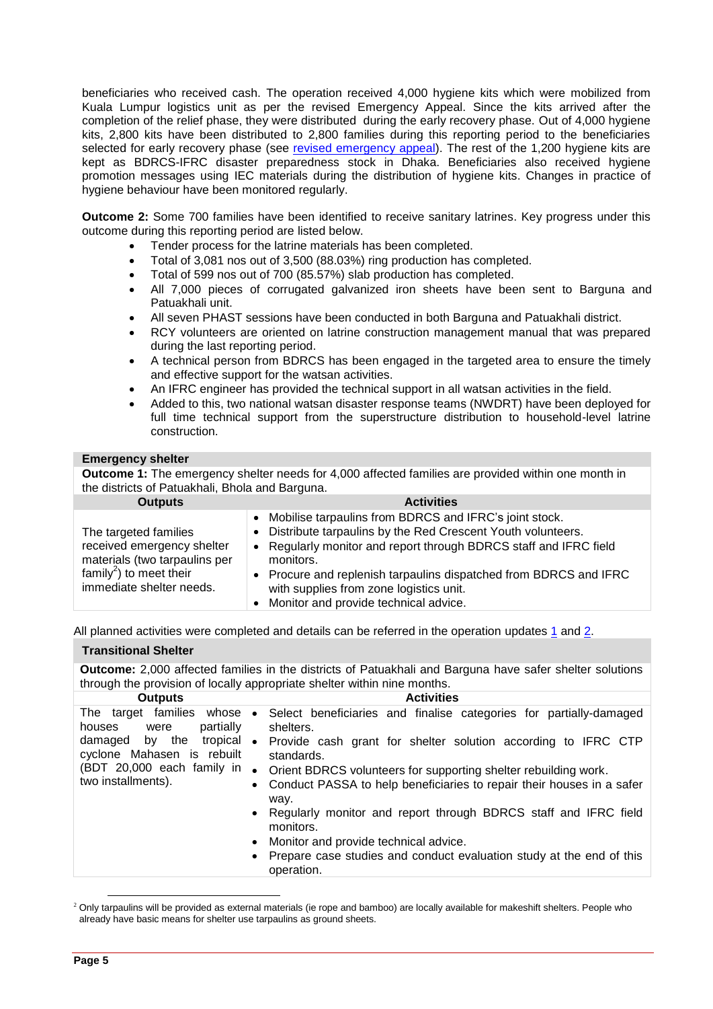beneficiaries who received cash. The operation received 4,000 hygiene kits which were mobilized from Kuala Lumpur logistics unit as per the revised Emergency Appeal. Since the kits arrived after the completion of the relief phase, they were distributed during the early recovery phase. Out of 4,000 hygiene kits, 2,800 kits have been distributed to 2,800 families during this reporting period to the beneficiaries selected for early recovery phase (see [revised emergency appeal\)](http://ifrc.org/docs/Appeals/13/MDRBD013REA.pdf). The rest of the 1,200 hygiene kits are kept as BDRCS-IFRC disaster preparedness stock in Dhaka. Beneficiaries also received hygiene promotion messages using IEC materials during the distribution of hygiene kits. Changes in practice of hygiene behaviour have been monitored regularly.

**Outcome 2:** Some 700 families have been identified to receive sanitary latrines. Key progress under this outcome during this reporting period are listed below.

- Tender process for the latrine materials has been completed.
- Total of 3,081 nos out of 3,500 (88.03%) ring production has completed.
- Total of 599 nos out of 700 (85.57%) slab production has completed.
- All 7,000 pieces of corrugated galvanized iron sheets have been sent to Barguna and Patuakhali unit.
- All seven PHAST sessions have been conducted in both Barguna and Patuakhali district.
- RCY volunteers are oriented on latrine construction management manual that was prepared during the last reporting period.
- A technical person from BDRCS has been engaged in the targeted area to ensure the timely and effective support for the watsan activities.
- An IFRC engineer has provided the technical support in all watsan activities in the field.
- Added to this, two national watsan disaster response teams (NWDRT) have been deployed for full time technical support from the superstructure distribution to household-level latrine construction.

#### **Emergency shelter**

**Outcome 1:** The emergency shelter needs for 4,000 affected families are provided within one month in the districts of Patuakhali, Bhola and Barguna.

| <b>Outputs</b>                                                                                                                                          | <b>Activities</b>                                                                                                                                                                                                                                                                                                                                                  |
|---------------------------------------------------------------------------------------------------------------------------------------------------------|--------------------------------------------------------------------------------------------------------------------------------------------------------------------------------------------------------------------------------------------------------------------------------------------------------------------------------------------------------------------|
| The targeted families<br>received emergency shelter<br>materials (two tarpaulins per<br>family <sup>2</sup> ) to meet their<br>immediate shelter needs. | • Mobilise tarpaulins from BDRCS and IFRC's joint stock.<br>• Distribute tarpaulins by the Red Crescent Youth volunteers.<br>• Regularly monitor and report through BDRCS staff and IFRC field<br>monitors.<br>Procure and replenish tarpaulins dispatched from BDRCS and IFRC<br>with supplies from zone logistics unit.<br>Monitor and provide technical advice. |

All planned activities were completed and details can be referred in the operation updates  $1$  and  $2$ .

#### **Transitional Shelter**

**Outcome:** 2,000 affected families in the districts of Patuakhali and Barguna have safer shelter solutions through the provision of locally appropriate shelter within nine months.

| <b>Outputs</b>                                                                                                                                                           | <b>Activities</b>                                                                            |
|--------------------------------------------------------------------------------------------------------------------------------------------------------------------------|----------------------------------------------------------------------------------------------|
| The target families whose<br>partially<br>houses<br>were<br>tropical<br>damaged by the<br>cyclone Mahasen is rebuilt<br>(BDT 20,000 each family in<br>two installments). | Select beneficiaries and finalise categories for partially-damaged<br>$\bullet$<br>shelters. |
|                                                                                                                                                                          | Provide cash grant for shelter solution according to IFRC CTP<br>$\bullet$<br>standards.     |
|                                                                                                                                                                          | Orient BDRCS volunteers for supporting shelter rebuilding work.<br>$\bullet$                 |
|                                                                                                                                                                          | • Conduct PASSA to help beneficiaries to repair their houses in a safer<br>way.              |
|                                                                                                                                                                          | • Regularly monitor and report through BDRCS staff and IFRC field<br>monitors.               |
|                                                                                                                                                                          | • Monitor and provide technical advice.                                                      |
|                                                                                                                                                                          | • Prepare case studies and conduct evaluation study at the end of this<br>operation.         |
|                                                                                                                                                                          |                                                                                              |

 $\overline{a}$ <sup>2</sup> Only tarpaulins will be provided as external materials (ie rope and bamboo) are locally available for makeshift shelters. People who already have basic means for shelter use tarpaulins as ground sheets.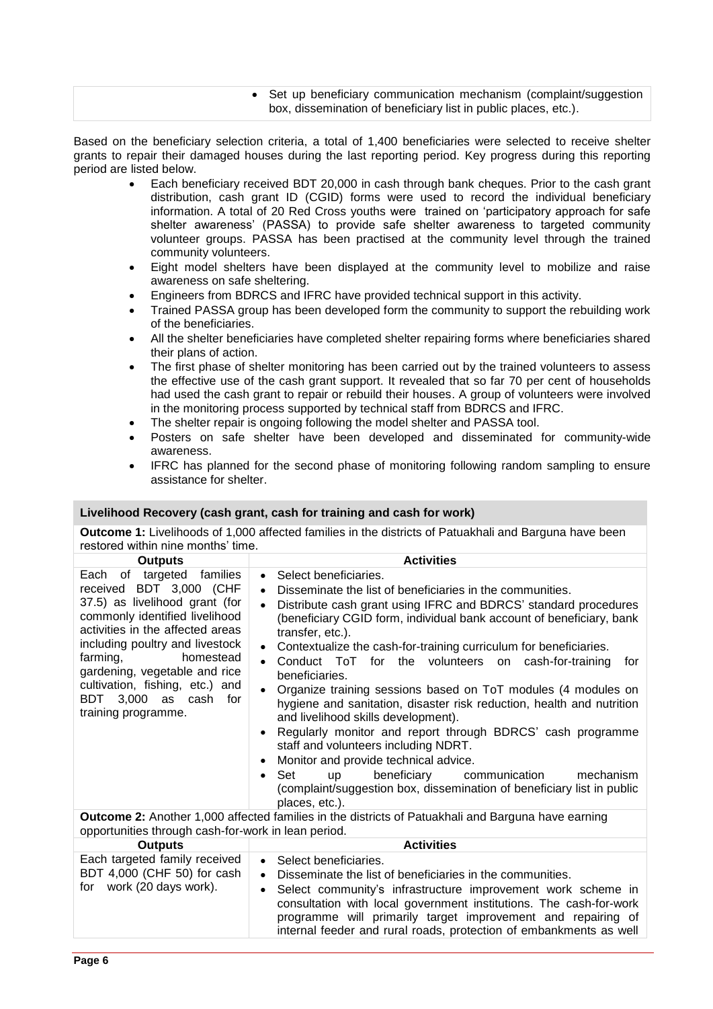### Set up beneficiary communication mechanism (complaint/suggestion box, dissemination of beneficiary list in public places, etc.).

Based on the beneficiary selection criteria, a total of 1,400 beneficiaries were selected to receive shelter grants to repair their damaged houses during the last reporting period. Key progress during this reporting period are listed below.

- Each beneficiary received BDT 20,000 in cash through bank cheques. Prior to the cash grant distribution, cash grant ID (CGID) forms were used to record the individual beneficiary information. A total of 20 Red Cross youths were trained on 'participatory approach for safe shelter awareness' (PASSA) to provide safe shelter awareness to targeted community volunteer groups. PASSA has been practised at the community level through the trained community volunteers.
- Eight model shelters have been displayed at the community level to mobilize and raise awareness on safe sheltering.
- Engineers from BDRCS and IFRC have provided technical support in this activity.
- Trained PASSA group has been developed form the community to support the rebuilding work of the beneficiaries.
- All the shelter beneficiaries have completed shelter repairing forms where beneficiaries shared their plans of action.
- The first phase of shelter monitoring has been carried out by the trained volunteers to assess the effective use of the cash grant support. It revealed that so far 70 per cent of households had used the cash grant to repair or rebuild their houses. A group of volunteers were involved in the monitoring process supported by technical staff from BDRCS and IFRC.
- The shelter repair is ongoing following the model shelter and PASSA tool.
- Posters on safe shelter have been developed and disseminated for community-wide awareness.
- IFRC has planned for the second phase of monitoring following random sampling to ensure assistance for shelter.

#### **Livelihood Recovery (cash grant, cash for training and cash for work) Outcome 1:** Livelihoods of 1,000 affected families in the districts of Patuakhali and Barguna have been restored within nine months' time. **Outputs Activities** Each of targeted families received BDT 3,000 (CHF 37.5) as livelihood grant (for commonly identified livelihood activities in the affected areas including poultry and livestock farming, homestead gardening, vegetable and rice cultivation, fishing, etc.) and BDT 3,000 as cash for training programme. Select beneficiaries. Disseminate the list of beneficiaries in the communities. Distribute cash grant using IFRC and BDRCS' standard procedures (beneficiary CGID form, individual bank account of beneficiary, bank transfer, etc.). Contextualize the cash-for-training curriculum for beneficiaries. Conduct ToT for the volunteers on cash-for-training for beneficiaries. Organize training sessions based on ToT modules (4 modules on hygiene and sanitation, disaster risk reduction, health and nutrition and livelihood skills development). Regularly monitor and report through BDRCS' cash programme staff and volunteers including NDRT. • Monitor and provide technical advice. Set up beneficiary communication mechanism (complaint/suggestion box, dissemination of beneficiary list in public places, etc.). **Outcome 2:** Another 1,000 affected families in the districts of Patuakhali and Barguna have earning opportunities through cash-for-work in lean period. **Outputs Activities** Each targeted family received BDT 4,000 (CHF 50) for cash for work (20 days work). Select beneficiaries. Disseminate the list of beneficiaries in the communities. Select community's infrastructure improvement work scheme in consultation with local government institutions. The cash-for-work programme will primarily target improvement and repairing of internal feeder and rural roads, protection of embankments as well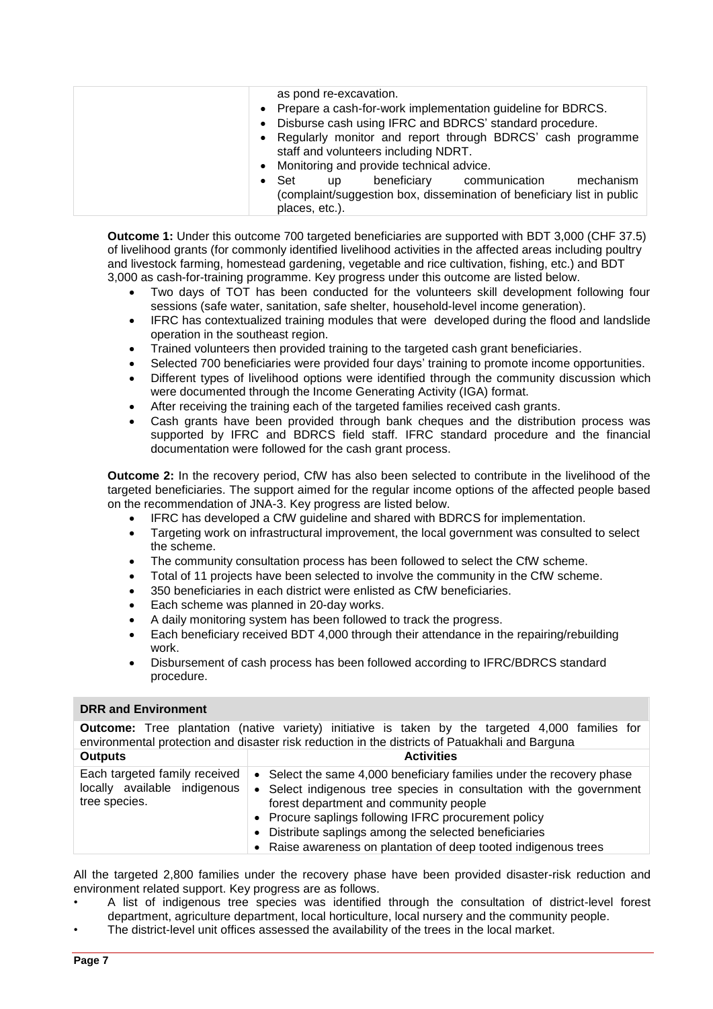| $\bullet$ | as pond re-excavation.<br>• Prepare a cash-for-work implementation guideline for BDRCS.<br>• Disburse cash using IFRC and BDRCS' standard procedure.<br>Regularly monitor and report through BDRCS' cash programme<br>staff and volunteers including NDRT.<br>• Monitoring and provide technical advice. |
|-----------|----------------------------------------------------------------------------------------------------------------------------------------------------------------------------------------------------------------------------------------------------------------------------------------------------------|
|           | communication<br>beneficiary<br>mechanism<br>$\bullet$ Set<br>up<br>(complaint/suggestion box, dissemination of beneficiary list in public<br>places, etc.).                                                                                                                                             |

**Outcome 1:** Under this outcome 700 targeted beneficiaries are supported with BDT 3,000 (CHF 37.5) of livelihood grants (for commonly identified livelihood activities in the affected areas including poultry and livestock farming, homestead gardening, vegetable and rice cultivation, fishing, etc.) and BDT 3,000 as cash-for-training programme. Key progress under this outcome are listed below.

- Two days of TOT has been conducted for the volunteers skill development following four sessions (safe water, sanitation, safe shelter, household-level income generation).
- IFRC has contextualized training modules that were developed during the flood and landslide operation in the southeast region.
- Trained volunteers then provided training to the targeted cash grant beneficiaries.
- Selected 700 beneficiaries were provided four days' training to promote income opportunities.
- Different types of livelihood options were identified through the community discussion which were documented through the Income Generating Activity (IGA) format.
- After receiving the training each of the targeted families received cash grants.
- Cash grants have been provided through bank cheques and the distribution process was supported by IFRC and BDRCS field staff. IFRC standard procedure and the financial documentation were followed for the cash grant process.

**Outcome 2:** In the recovery period, CfW has also been selected to contribute in the livelihood of the targeted beneficiaries. The support aimed for the regular income options of the affected people based on the recommendation of JNA-3. Key progress are listed below.

- IFRC has developed a CfW guideline and shared with BDRCS for implementation.
- Targeting work on infrastructural improvement, the local government was consulted to select the scheme.
- The community consultation process has been followed to select the CfW scheme.
- Total of 11 projects have been selected to involve the community in the CfW scheme.
- 350 beneficiaries in each district were enlisted as CfW beneficiaries.
- Each scheme was planned in 20-day works.
- A daily monitoring system has been followed to track the progress.
- Each beneficiary received BDT 4,000 through their attendance in the repairing/rebuilding work.
- Disbursement of cash process has been followed according to IFRC/BDRCS standard procedure.

#### **DRR and Environment**

**Outcome:** Tree plantation (native variety) initiative is taken by the targeted 4,000 families for environmental protection and disaster risk reduction in the districts of Patuakhali and Barguna **Outputs Activities** Each targeted family received locally available indigenous tree species. • Select the same 4,000 beneficiary families under the recovery phase Select indigenous tree species in consultation with the government

- forest department and community people • Procure saplings following IFRC procurement policy
	- Distribute saplings among the selected beneficiaries
	- Raise awareness on plantation of deep tooted indigenous trees

All the targeted 2,800 families under the recovery phase have been provided disaster-risk reduction and environment related support. Key progress are as follows.

- A list of indigenous tree species was identified through the consultation of district-level forest department, agriculture department, local horticulture, local nursery and the community people.
- The district-level unit offices assessed the availability of the trees in the local market.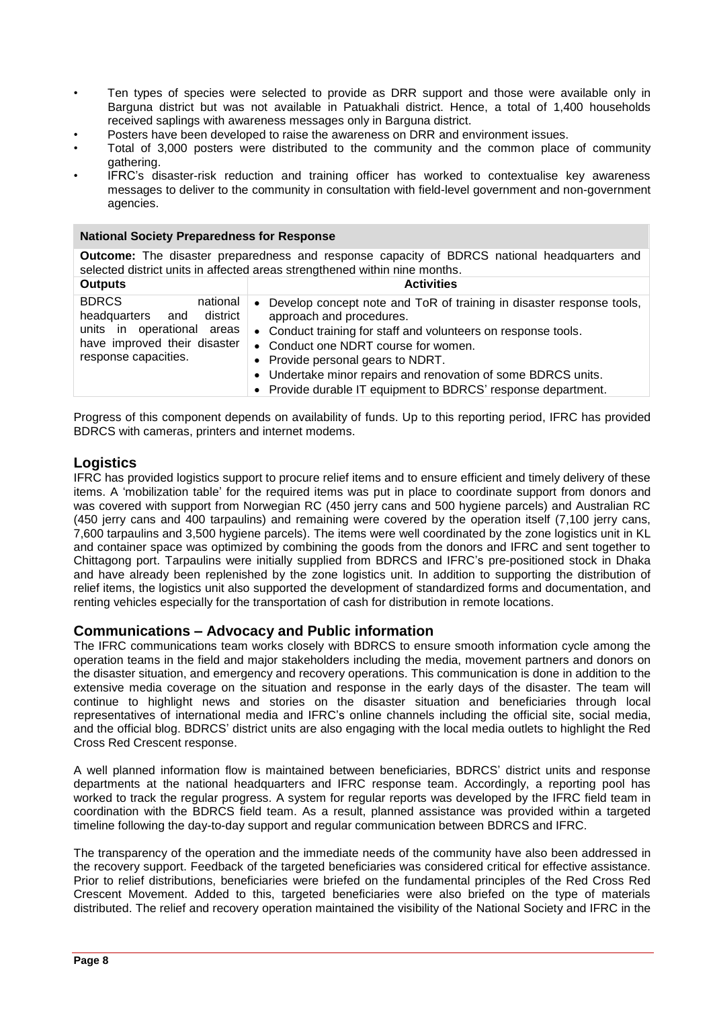- Ten types of species were selected to provide as DRR support and those were available only in Barguna district but was not available in Patuakhali district. Hence, a total of 1,400 households received saplings with awareness messages only in Barguna district.
- Posters have been developed to raise the awareness on DRR and environment issues.
- Total of 3,000 posters were distributed to the community and the common place of community gathering.
- IFRC's disaster-risk reduction and training officer has worked to contextualise key awareness messages to deliver to the community in consultation with field-level government and non-government agencies.

#### **National Society Preparedness for Response**

**Outcome:** The disaster preparedness and response capacity of BDRCS national headquarters and selected district units in affected areas strengthened within nine months.

| <b>Outputs</b>                                                                                                                                 | <b>Activities</b>                                                                                                                                                                                                                                                                                                                                                                              |
|------------------------------------------------------------------------------------------------------------------------------------------------|------------------------------------------------------------------------------------------------------------------------------------------------------------------------------------------------------------------------------------------------------------------------------------------------------------------------------------------------------------------------------------------------|
| <b>BDRCS</b><br>national<br>district<br>headquarters and<br>units in operational areas<br>have improved their disaster<br>response capacities. | Develop concept note and ToR of training in disaster response tools,<br>$\bullet$<br>approach and procedures.<br>• Conduct training for staff and volunteers on response tools.<br>• Conduct one NDRT course for women.<br>• Provide personal gears to NDRT.<br>• Undertake minor repairs and renovation of some BDRCS units.<br>• Provide durable IT equipment to BDRCS' response department. |

Progress of this component depends on availability of funds. Up to this reporting period, IFRC has provided BDRCS with cameras, printers and internet modems.

### **Logistics**

IFRC has provided logistics support to procure relief items and to ensure efficient and timely delivery of these items. A 'mobilization table' for the required items was put in place to coordinate support from donors and was covered with support from Norwegian RC (450 jerry cans and 500 hygiene parcels) and Australian RC (450 jerry cans and 400 tarpaulins) and remaining were covered by the operation itself (7,100 jerry cans, 7,600 tarpaulins and 3,500 hygiene parcels). The items were well coordinated by the zone logistics unit in KL and container space was optimized by combining the goods from the donors and IFRC and sent together to Chittagong port. Tarpaulins were initially supplied from BDRCS and IFRC's pre-positioned stock in Dhaka and have already been replenished by the zone logistics unit. In addition to supporting the distribution of relief items, the logistics unit also supported the development of standardized forms and documentation, and renting vehicles especially for the transportation of cash for distribution in remote locations.

#### **Communications – Advocacy and Public information**

The IFRC communications team works closely with BDRCS to ensure smooth information cycle among the operation teams in the field and major stakeholders including the media, movement partners and donors on the disaster situation, and emergency and recovery operations. This communication is done in addition to the extensive media coverage on the situation and response in the early days of the disaster. The team will continue to highlight news and stories on the disaster situation and beneficiaries through local representatives of international media and IFRC's online channels including the official site, social media, and the official blog. BDRCS' district units are also engaging with the local media outlets to highlight the Red Cross Red Crescent response.

A well planned information flow is maintained between beneficiaries, BDRCS' district units and response departments at the national headquarters and IFRC response team. Accordingly, a reporting pool has worked to track the regular progress. A system for regular reports was developed by the IFRC field team in coordination with the BDRCS field team. As a result, planned assistance was provided within a targeted timeline following the day-to-day support and regular communication between BDRCS and IFRC.

The transparency of the operation and the immediate needs of the community have also been addressed in the recovery support. Feedback of the targeted beneficiaries was considered critical for effective assistance. Prior to relief distributions, beneficiaries were briefed on the fundamental principles of the Red Cross Red Crescent Movement. Added to this, targeted beneficiaries were also briefed on the type of materials distributed. The relief and recovery operation maintained the visibility of the National Society and IFRC in the